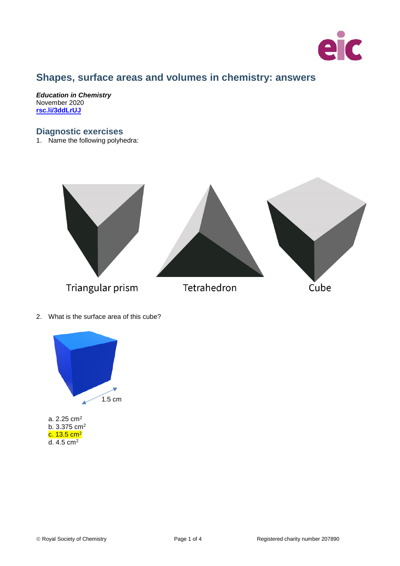

# **Shapes, surface areas and volumes in chemistry: answers**

*Education in Chemistry* November 2020 **[rsc.li/3ddLrUJ](https://rsc.li/3ddLrUJ)**

## **Diagnostic exercises**

1. Name the following polyhedra:



2. What is the surface area of this cube?



d. 4.5 cm2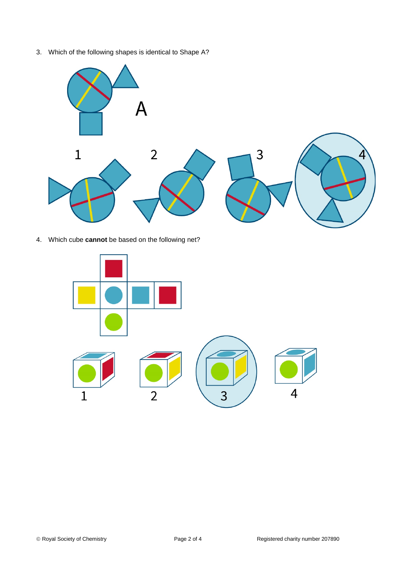3. Which of the following shapes is identical to Shape A?



4. Which cube **cannot** be based on the following net?

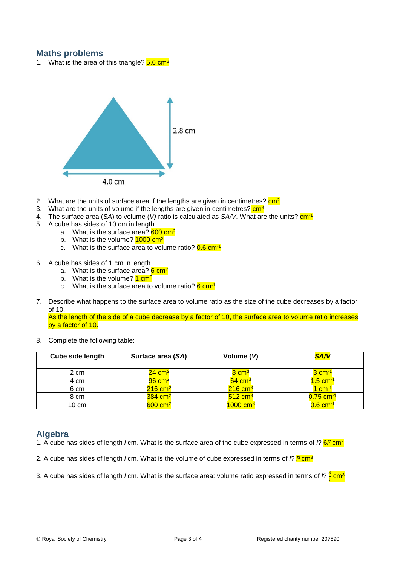## **Maths problems**

1. What is the area of this triangle?  $5.6 \text{ cm}^2$ 



- 2. What are the units of surface area if the lengths are given in centimetres?  $\frac{cm^2}{cm^2}$
- 3. What are the units of volume if the lengths are given in centimetres? cm<sup>3</sup>
- 4. The surface area (SA) to volume (*V*) ratio is calculated as SA/V. What are the units?  $cm^{-1}$
- 5. A cube has sides of 10 cm in length.
	- a. What is the surface area?  $600 \text{ cm}^2$
	- b. What is the volume? **1000 cm<sup>3</sup>**
	- c. What is the surface area to volume ratio?  $0.6 \text{ cm}^{-1}$
- 6. A cube has sides of 1 cm in length.
	- a. What is the surface area?  $6 \text{ cm}^2$
	- b. What is the volume?  $1 \text{ cm}^3$
	- c. What is the surface area to volume ratio?  $6 \text{ cm}^{-1}$
- 7. Describe what happens to the surface area to volume ratio as the size of the cube decreases by a factor of 10.

As the length of the side of a cube decrease by a factor of 10, the surface area to volume ratio increases by a factor of 10.

8. Complete the following table:

| Cube side length | Surface area (SA)     | Volume (V)             | <b>SA/V</b>            |
|------------------|-----------------------|------------------------|------------------------|
| 2 cm             | $24 \text{ cm}^2$     | 8 cm <sup>3</sup>      | 3 cm <sup>-1</sup>     |
| 4 cm             | $96 \text{ cm}^2$     | $64 \text{ cm}^3$      | $1.5 \text{ cm}^{-1}$  |
| 6 cm             | $216$ cm <sup>2</sup> | $216 \text{ cm}^3$     | 1 cm <sup>-1</sup>     |
| 8 cm             | $384$ cm <sup>2</sup> | $512 \text{ cm}^3$     | $0.75 \text{ cm}^{-1}$ |
| $10 \text{ cm}$  | $600 \text{ cm}^2$    | $1000$ cm <sup>3</sup> | $0.6 \text{ cm}^{-1}$  |

## **Algebra**

- 1. A cube has sides of length *l* cm. What is the surface area of the cube expressed in terms of *l*? <mark>6*l* cm<sup>2</sup></u></mark>
- 2. A cube has sides of length *l* cm. What is the volume of cube expressed in terms of *l*? <mark>/<sup>8</sup> cm</mark>3
- 3. A cube has sides of length *l* cm. What is the surface area: volume ratio expressed in terms of *l*?  $\frac{6}{l}$  cm<sup>3</sup>